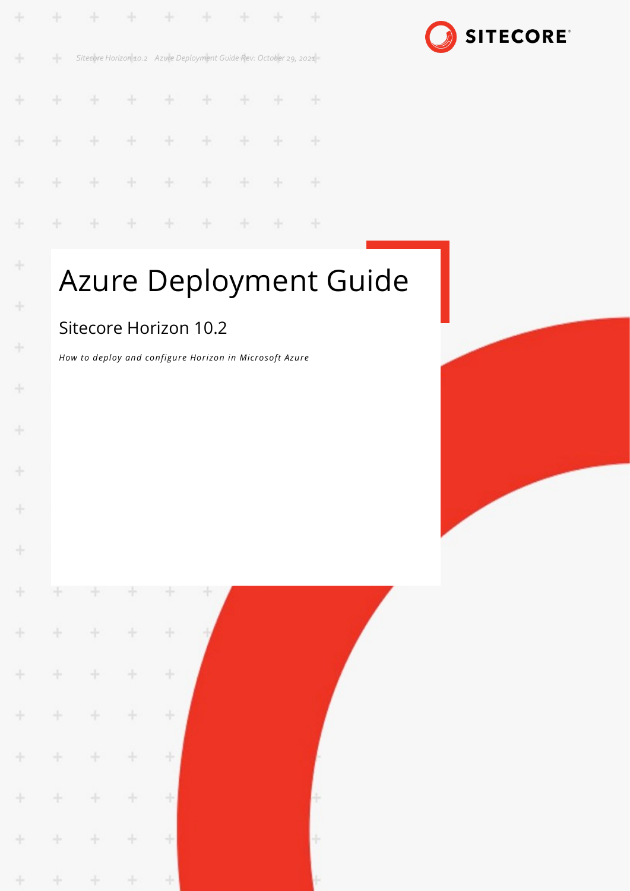| ÷ |      | .                                                                  |  |  |  |
|---|------|--------------------------------------------------------------------|--|--|--|
| ÷ | $-1$ | Sitecore Horizon 10.2 Azure Deployment Guide Rev: October 29, 2021 |  |  |  |
| ÷ |      | .                                                                  |  |  |  |
|   |      | * * * * * * * * *                                                  |  |  |  |
|   |      | * * * * * * * * *                                                  |  |  |  |
|   |      | * * * * * * * * *                                                  |  |  |  |

# **SITECORE®**

# Azure Deployment Guide

### Sitecore Horizon 10.2

÷

÷

÷

 $\frac{1}{2}$ 

÷

÷

4

*How to deploy and configure Horizon in Microsoft Azure*

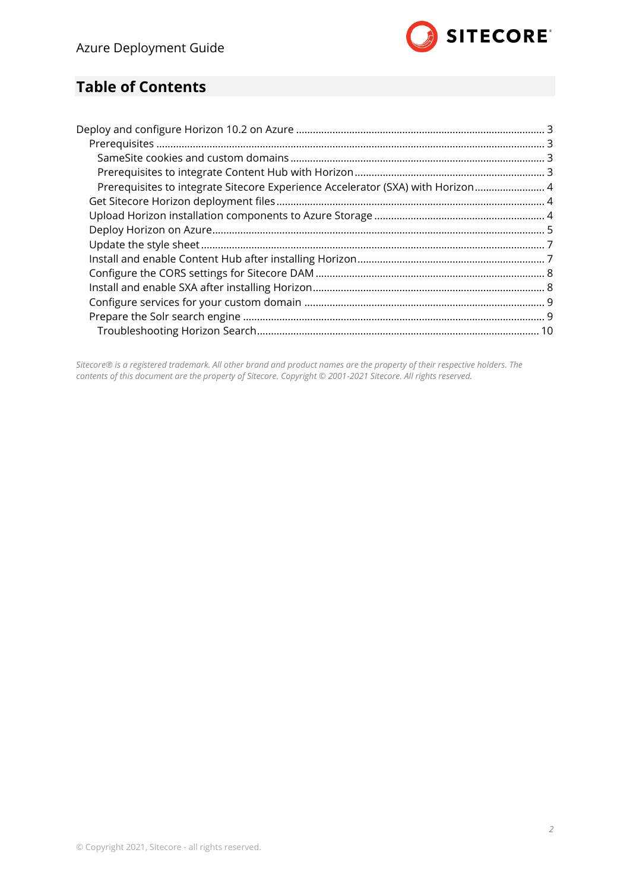

### **Table of Contents**

| Prerequisites to integrate Sitecore Experience Accelerator (SXA) with Horizon 4 |  |
|---------------------------------------------------------------------------------|--|
|                                                                                 |  |
|                                                                                 |  |
|                                                                                 |  |
|                                                                                 |  |
|                                                                                 |  |
|                                                                                 |  |
|                                                                                 |  |
|                                                                                 |  |
|                                                                                 |  |
|                                                                                 |  |
|                                                                                 |  |

*Sitecore® is a registered trademark. All other brand and product names are the property of their respective holders. The contents of this document are the property of Sitecore. Copyright © 2001-2021 Sitecore. All rights reserved.*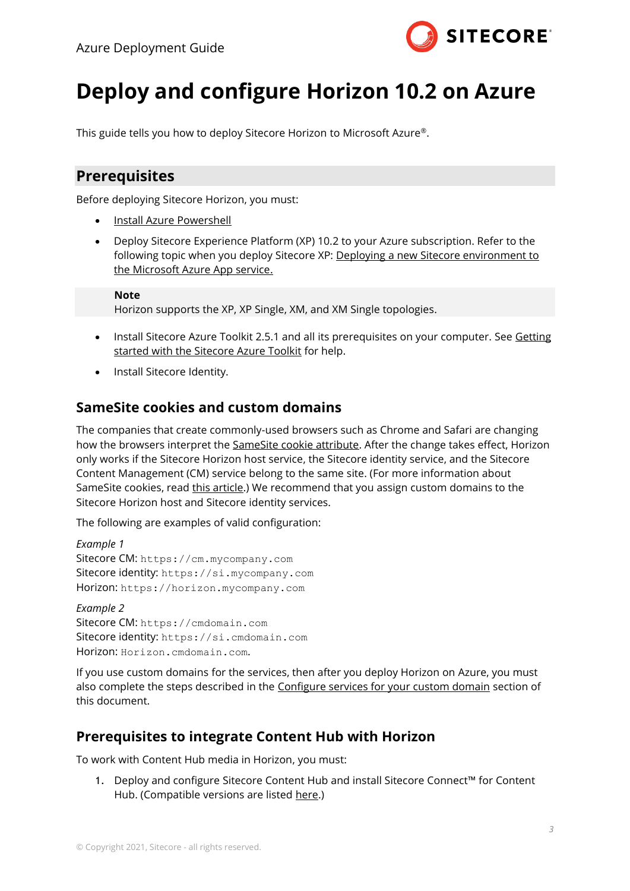

## <span id="page-2-0"></span>**Deploy and configure Horizon 10.2 on Azure**

<span id="page-2-1"></span>This guide tells you how to deploy Sitecore Horizon to Microsoft Azure®.

#### **Prerequisites**

Before deploying Sitecore Horizon, you must:

- [Install Azure Powershell](https://docs.microsoft.com/en-us/powershell/azure/install-az-ps?view=azps-5.5.0)
- Deploy Sitecore Experience Platform (XP) 10.2 to your Azure subscription. Refer to the following topic when you deploy Sitecore XP: Deploying a new Sitecore environment to [the Microsoft Azure App service.](https://doc.sitecore.com/developers/sat/25/sitecore-azure-toolkit/en/deploy-a-new-sitecore-environment-to-azure-app-service.html)

**Note**

Horizon supports the XP, XP Single, XM, and XM Single topologies.

- Install Sitecore Azure Toolkit 2.5.1 and all its prerequisites on your computer. See Getting [started with the Sitecore Azure Toolkit](https://doc.sitecore.com/developers/sat/25/sitecore-azure-toolkit/en/getting-started-with-the-sitecore-azure-toolkit.html) for help.
- Install Sitecore Identity.

#### <span id="page-2-2"></span>**SameSite cookies and custom domains**

The companies that create commonly-used browsers such as Chrome and Safari are changing how the browsers interpret the [SameSite cookie attribute.](https://www.chromium.org/updates/same-site) After the change takes effect, Horizon only works if the Sitecore Horizon host service, the Sitecore identity service, and the Sitecore Content Management (CM) service belong to the same site. (For more information about SameSite cookies, read [this article.](https://web.dev/samesite-cookies-explained/#explicitly-state-cookie-usage-with-the-samesite-attribute)) We recommend that you assign custom domains to the Sitecore Horizon host and Sitecore identity services.

The following are examples of valid configuration:

*Example 1* Sitecore CM: https://cm.mycompany.com Sitecore identity: https://si.mycompany.com Horizon: https://horizon.mycompany.com

*Example 2* Sitecore CM: [https://cmdomain.com](https://cmdomain.com/) Sitecore identity: https://si.cmdomain.com Horizon: Horizon.cmdomain.com.

If you use custom domains for the services, then after you deploy Horizon on Azure, you must also complete the steps described in the [Configure services for your custom domain](#page-8-0) section of this document.

#### <span id="page-2-3"></span>**Prerequisites to integrate Content Hub with Horizon**

To work with Content Hub media in Horizon, you must:

1. Deploy and configure Sitecore Content Hub and install Sitecore Connect™ for Content Hub. (Compatible versions are listed [here.](https://support.sitecore.com/kb?id=kb_article_view&sysparm_article=KB0505663))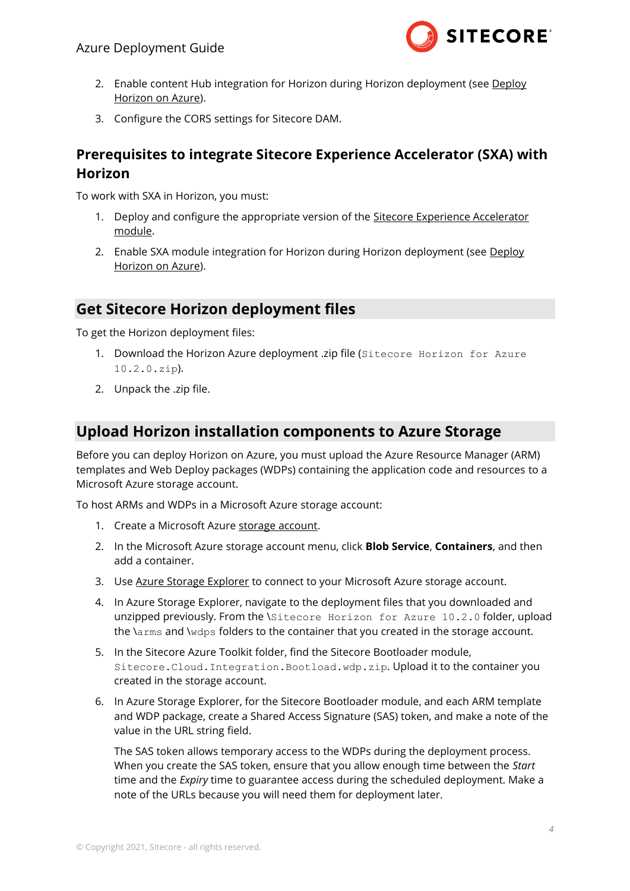

- 2. Enable content Hub integration for Horizon during Horizon deployment (see Deploy [Horizon on Azure\)](#page-4-0).
- 3. Configure the CORS settings for Sitecore DAM.

#### <span id="page-3-0"></span>**Prerequisites to integrate Sitecore Experience Accelerator (SXA) with Horizon**

To work with SXA in Horizon, you must:

- 1. Deploy and configure the appropriate version of the [Sitecore Experience Accelerator](https://dev.sitecore.net/Downloads/Sitecore_Experience_Accelerator.aspx)  [module.](https://dev.sitecore.net/Downloads/Sitecore_Experience_Accelerator.aspx)
- 2. Enable SXA module integration for Horizon during Horizon deployment (see Deploy [Horizon on Azure\)](#page-4-0).

#### <span id="page-3-1"></span>**Get Sitecore Horizon deployment files**

To get the Horizon deployment files:

- 1. Download the Horizon Azure deployment .zip file (Sitecore Horizon for Azure 10.2.0.zip).
- <span id="page-3-2"></span>2. Unpack the .zip file.

#### **Upload Horizon installation components to Azure Storage**

Before you can deploy Horizon on Azure, you must upload the Azure Resource Manager (ARM) templates and Web Deploy packages (WDPs) containing the application code and resources to a Microsoft Azure storage account.

To host ARMs and WDPs in a Microsoft Azure storage account:

- 1. Create a Microsoft Azure [storage account.](https://docs.microsoft.com/en-us/azure/storage/common/storage-quickstart-create-account?tabs=portal)
- 2. In the Microsoft Azure storage account menu, click **Blob Service**, **Containers**, and then add a container.
- 3. Use [Azure Storage Explorer](https://azure.microsoft.com/en-us/features/storage-explorer/) to connect to your Microsoft Azure storage account.
- 4. In Azure Storage Explorer, navigate to the deployment files that you downloaded and unzipped previously. From the \Sitecore Horizon for Azure 10.2.0 folder, upload the \arms and \wdps folders to the container that you created in the storage account.
- 5. In the Sitecore Azure Toolkit folder, find the Sitecore Bootloader module, Sitecore.Cloud.Integration.Bootload.wdp.zip. Upload it to the container you created in the storage account.
- 6. In Azure Storage Explorer, for the Sitecore Bootloader module, and each ARM template and WDP package, create a Shared Access Signature (SAS) token, and make a note of the value in the URL string field.

The SAS token allows temporary access to the WDPs during the deployment process. When you create the SAS token, ensure that you allow enough time between the *Start*  time and the *Expiry* time to guarantee access during the scheduled deployment. Make a note of the URLs because you will need them for deployment later.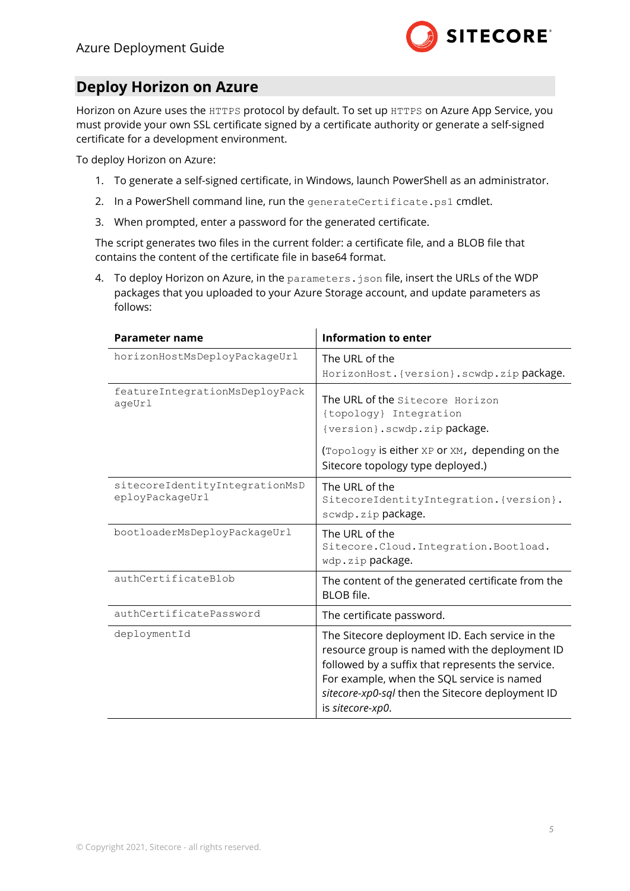

#### <span id="page-4-0"></span>**Deploy Horizon on Azure**

Horizon on Azure uses the HTTPS protocol by default. To set up HTTPS on Azure App Service, you must provide your own SSL certificate signed by a certificate authority or generate a self-signed certificate for a development environment.

To deploy Horizon on Azure:

- 1. To generate a self-signed certificate, in Windows, launch PowerShell as an administrator.
- 2. In a PowerShell command line, run the generateCertificate.ps1 cmdlet.
- 3. When prompted, enter a password for the generated certificate.

The script generates two files in the current folder: a certificate file, and a BLOB file that contains the content of the certificate file in base64 format.

4. To deploy Horizon on Azure, in the parameters.json file, insert the URLs of the WDP packages that you uploaded to your Azure Storage account, and update parameters as follows:

| Parameter name                                    | <b>Information to enter</b>                                                                                                                                                                                                                                                  |  |  |
|---------------------------------------------------|------------------------------------------------------------------------------------------------------------------------------------------------------------------------------------------------------------------------------------------------------------------------------|--|--|
| horizonHostMsDeployPackageUrl                     | The URL of the                                                                                                                                                                                                                                                               |  |  |
|                                                   | HorizonHost. {version}.scwdp.zip package.                                                                                                                                                                                                                                    |  |  |
| featureIntegrationMsDeployPack<br>ageUrl          | The URL of the Sitecore Horizon<br>{topology} Integration<br>{version}.scwdp.zip package.<br>(Topology is either XP or XM, depending on the<br>Sitecore topology type deployed.)                                                                                             |  |  |
| sitecoreIdentityIntegrationMsD<br>eployPackageUrl | The URL of the<br>SitecoreIdentityIntegration. {version}.<br>scwdp.zippackage.                                                                                                                                                                                               |  |  |
| bootloaderMsDeployPackageUrl                      | The URL of the<br>Sitecore. Cloud. Integration. Bootload.<br>wdp.zip package.                                                                                                                                                                                                |  |  |
| authCertificateBlob                               | The content of the generated certificate from the<br><b>BLOB</b> file.                                                                                                                                                                                                       |  |  |
| authCertificatePassword                           | The certificate password.                                                                                                                                                                                                                                                    |  |  |
| deploymentId                                      | The Sitecore deployment ID. Each service in the<br>resource group is named with the deployment ID<br>followed by a suffix that represents the service.<br>For example, when the SQL service is named<br>sitecore-xp0-sql then the Sitecore deployment ID<br>is sitecore-xp0. |  |  |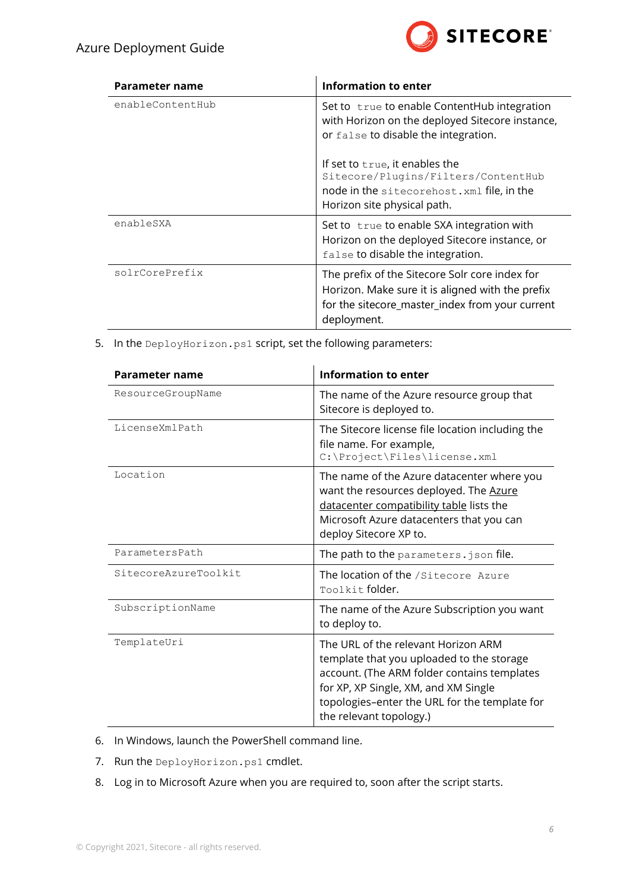

| Parameter name   | Information to enter                                                                                                                                                 |  |
|------------------|----------------------------------------------------------------------------------------------------------------------------------------------------------------------|--|
| enableContentHub | Set to true to enable ContentHub integration<br>with Horizon on the deployed Sitecore instance,<br>or false to disable the integration.                              |  |
|                  | If set to true, it enables the<br>Sitecore/Plugins/Filters/ContentHub<br>node in the sitecorehost. xml file, in the<br>Horizon site physical path.                   |  |
| enableSXA        | Set to true to enable SXA integration with<br>Horizon on the deployed Sitecore instance, or<br>false to disable the integration.                                     |  |
| solrCorePrefix   | The prefix of the Sitecore Solr core index for<br>Horizon. Make sure it is aligned with the prefix<br>for the sitecore_master_index from your current<br>deployment. |  |

5. In the DeployHorizon.ps1 script, set the following parameters:

| Parameter name       | <b>Information to enter</b>                                                                                                                                                                                                                         |  |  |
|----------------------|-----------------------------------------------------------------------------------------------------------------------------------------------------------------------------------------------------------------------------------------------------|--|--|
| ResourceGroupName    | The name of the Azure resource group that<br>Sitecore is deployed to.                                                                                                                                                                               |  |  |
| LicenseXmlPath       | The Sitecore license file location including the<br>file name. For example,<br>C:\Project\Files\license.xml                                                                                                                                         |  |  |
| Location             | The name of the Azure datacenter where you<br>want the resources deployed. The Azure<br>datacenter compatibility table lists the<br>Microsoft Azure datacenters that you can<br>deploy Sitecore XP to.                                              |  |  |
| ParametersPath       | The path to the parameters. json file.                                                                                                                                                                                                              |  |  |
| SitecoreAzureToolkit | The location of the /Sitecore Azure<br>Toolkit folder.                                                                                                                                                                                              |  |  |
| SubscriptionName     | The name of the Azure Subscription you want<br>to deploy to.                                                                                                                                                                                        |  |  |
| TemplateUri          | The URL of the relevant Horizon ARM<br>template that you uploaded to the storage<br>account. (The ARM folder contains templates<br>for XP, XP Single, XM, and XM Single<br>topologies-enter the URL for the template for<br>the relevant topology.) |  |  |

- 6. In Windows, launch the PowerShell command line.
- 7. Run the DeployHorizon.ps1 cmdlet.
- 8. Log in to Microsoft Azure when you are required to, soon after the script starts.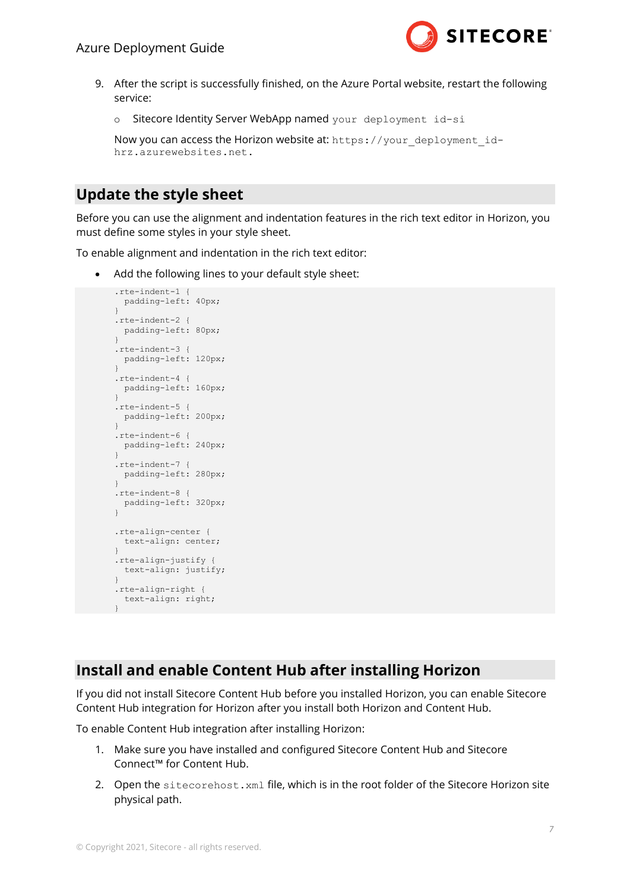

- 9. After the script is successfully finished, on the Azure Portal website, restart the following service:
	- o Sitecore Identity Server WebApp named your deployment id-si

```
Now you can access the Horizon website at: https://your_deployment_id-
hrz.azurewebsites.net.
```
#### <span id="page-6-0"></span>**Update the style sheet**

Before you can use the alignment and indentation features in the rich text editor in Horizon, you must define some styles in your style sheet.

To enable alignment and indentation in the rich text editor:

Add the following lines to your default style sheet:

```
.rte-indent-1 {
  padding-left: 40px;
}
.rte-indent-2 {
  padding-left: 80px;
}
.rte-indent-3 {
  padding-left: 120px;
}
.rte-indent-4 {
  padding-left: 160px;
}
.rte-indent-5 {
  padding-left: 200px;
\lambda.rte-indent-6 {
  padding-left: 240px;
}
.rte-indent-7 {
  padding-left: 280px;
}
.rte-indent-8 {
  padding-left: 320px;
\lambda.rte-align-center {
  text-align: center;
\overline{1}.rte-align-justify {
  text-align: justify;
}
.rte-align-right {
   text-align: right;
}
```
#### <span id="page-6-1"></span>**Install and enable Content Hub after installing Horizon**

If you did not install Sitecore Content Hub before you installed Horizon, you can enable Sitecore Content Hub integration for Horizon after you install both Horizon and Content Hub.

To enable Content Hub integration after installing Horizon:

- 1. Make sure you have installed and configured Sitecore Content Hub and Sitecore Connect™ for Content Hub.
- 2. Open the sitecorehost. xml file, which is in the root folder of the Sitecore Horizon site physical path.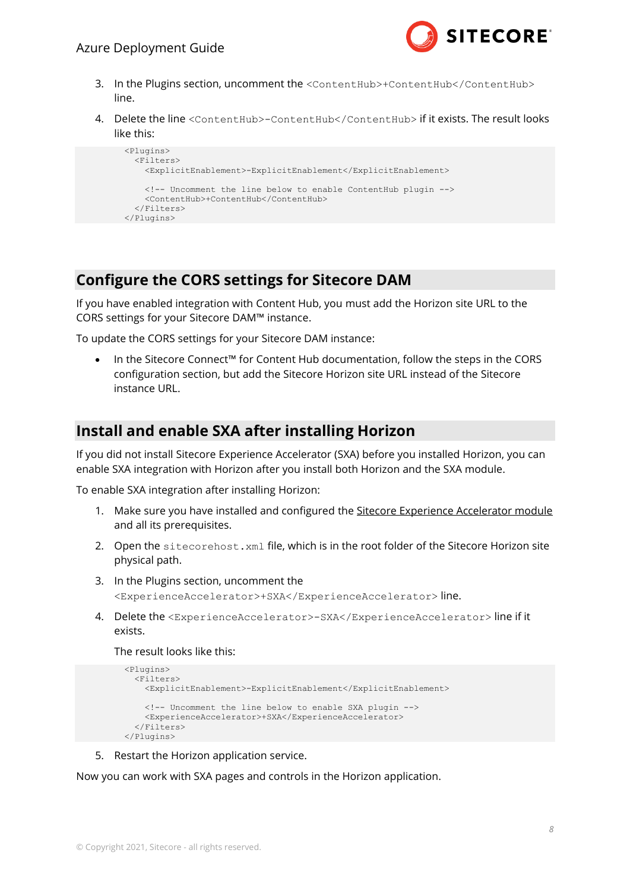

- 3. In the Plugins section, uncomment the <ContentHub>+ContentHub</ContentHub> line.
- 4. Delete the line <ContentHub>-ContentHub</ContentHub> if it exists. The result looks like this:

```
 <Plugins>
   <Filters>
    <ExplicitEnablement>-ExplicitEnablement</ExplicitEnablement>
    <!-- Uncomment the line below to enable ContentHub plugin -->
    <ContentHub>+ContentHub</ContentHub>
   </Filters>
 </Plugins>
```
#### <span id="page-7-0"></span>**Configure the CORS settings for Sitecore DAM**

If you have enabled integration with Content Hub, you must add the Horizon site URL to the CORS settings for your Sitecore DAM™ instance.

To update the CORS settings for your Sitecore DAM instance:

• In the Sitecore Connect™ for Content Hub documentation, follow the steps in the CORS configuration section, but add the Sitecore Horizon site URL instead of the Sitecore instance URL.

#### <span id="page-7-1"></span>**Install and enable SXA after installing Horizon**

If you did not install Sitecore Experience Accelerator (SXA) before you installed Horizon, you can enable SXA integration with Horizon after you install both Horizon and the SXA module.

To enable SXA integration after installing Horizon:

- 1. Make sure you have installed and configured the [Sitecore Experience Accelerator module](https://dev.sitecore.net/Downloads/Sitecore_Experience_Accelerator.aspx) and all its prerequisites.
- 2. Open the sitecorehost.xml file, which is in the root folder of the Sitecore Horizon site physical path.
- 3. In the Plugins section, uncomment the <ExperienceAccelerator>+SXA</ExperienceAccelerator> line.
- 4. Delete the <ExperienceAccelerator>-SXA</ExperienceAccelerator> line if it exists.

#### The result looks like this:

```
 <Plugins>
   <Filters>
    <ExplicitEnablement>-ExplicitEnablement</ExplicitEnablement>
     <!-- Uncomment the line below to enable SXA plugin -->
    <ExperienceAccelerator>+SXA</ExperienceAccelerator>
   </Filters>
 </Plugins>
```
5. Restart the Horizon application service.

Now you can work with SXA pages and controls in the Horizon application.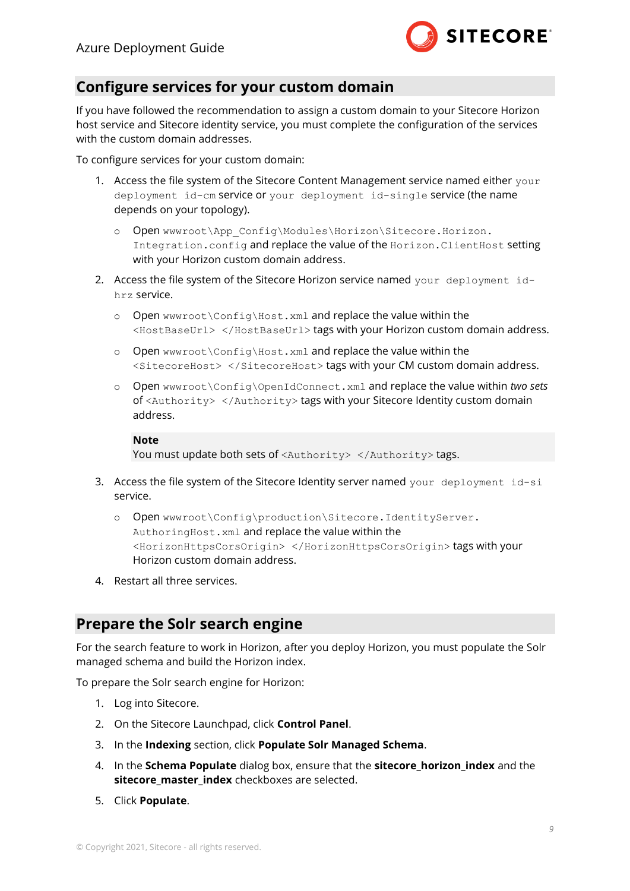

#### <span id="page-8-0"></span>**Configure services for your custom domain**

If you have followed the recommendation to assign a custom domain to your Sitecore Horizon host service and Sitecore identity service, you must complete the configuration of the services with the custom domain addresses.

To configure services for your custom domain:

- 1. Access the file system of the Sitecore Content Management service named either your deployment id-cm service or your deployment id-single service (the name depends on your topology).
	- o Open wwwroot\App\_Config\Modules\Horizon\Sitecore.Horizon. Integration.config and replace the value of the Horizon.ClientHost setting with your Horizon custom domain address.
- 2. Access the file system of the Sitecore Horizon service named your deployment idhrz service.
	- o Open wwwroot\Config\Host.xml and replace the value within the <HostBaseUrl> </HostBaseUrl> tags with your Horizon custom domain address.
	- o Open wwwroot\Config\Host.xml and replace the value within the <SitecoreHost> </SitecoreHost> tags with your CM custom domain address.
	- o Open wwwroot\Config\OpenIdConnect.xml and replace the value within *two sets* of <Authority> </Authority> tags with your Sitecore Identity custom domain address.

#### **Note**

You must update both sets of <Authority> </Authority> tags.

- 3. Access the file system of the Sitecore Identity server named your deployment id-si service.
	- o Open wwwroot\Config\production\Sitecore.IdentityServer. AuthoringHost.xml and replace the value within the <HorizonHttpsCorsOrigin> </HorizonHttpsCorsOrigin> tags with your Horizon custom domain address.
- <span id="page-8-1"></span>4. Restart all three services.

#### **Prepare the Solr search engine**

For the search feature to work in Horizon, after you deploy Horizon, you must populate the Solr managed schema and build the Horizon index.

To prepare the Solr search engine for Horizon:

- 1. Log into Sitecore.
- 2. On the Sitecore Launchpad, click **Control Panel**.
- 3. In the **Indexing** section, click **Populate Solr Managed Schema**.
- 4. In the **Schema Populate** dialog box, ensure that the **sitecore\_horizon\_index** and the **sitecore\_master\_index** checkboxes are selected.
- 5. Click **Populate**.